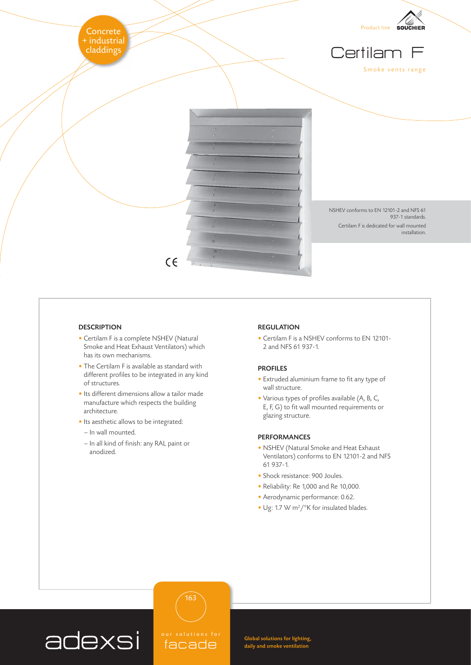

## **DESCRIPTION**

- Certilam F is a complete NSHEV (Natural Smoke and Heat Exhaust Ventilators) which has its own mechanisms.
- The Certilam F is available as standard with different profiles to be integrated in any kind of structures.
- Its different dimensions allow a tailor made manufacture which respects the building architecture.
- Its aesthetic allows to be integrated:
- In wall mounted.
- In all kind of finish: any RAL paint or anodized.

#### REGULATION

• Certilam F is a NSHEV conforms to EN 12101- 2 and NFS 61 937-1.

#### PROFILES

- Extruded aluminium frame to fit any type of wall structure.
- $\bullet$  Various types of profiles available (A, B, C, E, F, G) to fit wall mounted requirements or glazing structure.

#### PERFORMANCES

- NSHEV (Natural Smoke and Heat Exhaust Ventilators) conforms to EN 12101-2 and NFS 61 937-1.
- Shock resistance: 900 Joules.
- Reliability: Re 1,000 and Re 10,000.
- Aerodynamic performance: 0.62.
- Ug: 1.7 W m<sup>2</sup>/°K for insulated blades.



olutions facade

163

Global solutions for lighting, daily and smoke ventilation